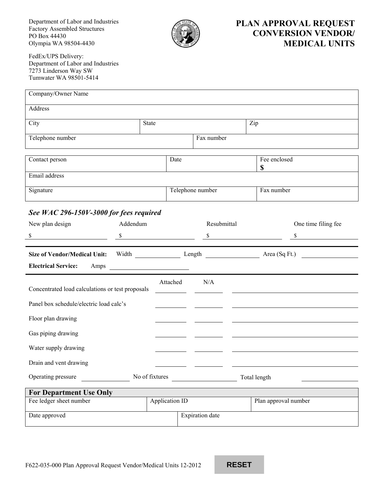Department of Labor and Industries Factory Assembled Structures PO Box 44430 Olympia WA 98504-4430



## **PLAN APPROVAL REQUEST CONVERSION VENDOR/ MEDICAL UNITS**

FedEx/UPS Delivery: Department of Labor and Industries 7273 Linderson Way SW Tumwater WA 98501-5414

| Company/Owner Name                                                  |          |                |                  |                      |                                   |  |  |  |  |
|---------------------------------------------------------------------|----------|----------------|------------------|----------------------|-----------------------------------|--|--|--|--|
| Address                                                             |          |                |                  |                      |                                   |  |  |  |  |
| City<br><b>State</b>                                                |          |                |                  | Zip                  |                                   |  |  |  |  |
| Telephone number                                                    |          | Fax number     |                  |                      |                                   |  |  |  |  |
|                                                                     |          |                |                  |                      |                                   |  |  |  |  |
| Contact person                                                      | Date     |                |                  | Fee enclosed<br>\$   |                                   |  |  |  |  |
| Email address                                                       |          |                |                  |                      |                                   |  |  |  |  |
| Signature                                                           |          |                | Telephone number |                      | Fax number                        |  |  |  |  |
| See WAC 296-150V-3000 for fees required                             |          |                |                  |                      |                                   |  |  |  |  |
| New plan design                                                     | Addendum |                | Resubmittal      |                      | One time filing fee               |  |  |  |  |
| \$                                                                  |          | $\sim$         |                  | $\sim$               | $\mathbb{S}$                      |  |  |  |  |
| <b>Size of Vendor/Medical Unit:</b>                                 |          |                |                  |                      | Width Length Length Area (Sq Ft.) |  |  |  |  |
| <b>Electrical Service:</b><br>Amps                                  |          |                |                  |                      |                                   |  |  |  |  |
| N/A<br>Attached<br>Concentrated load calculations or test proposals |          |                |                  |                      |                                   |  |  |  |  |
| Panel box schedule/electric load calc's                             |          |                |                  |                      |                                   |  |  |  |  |
| Floor plan drawing                                                  |          |                |                  |                      |                                   |  |  |  |  |
| Gas piping drawing                                                  |          |                |                  |                      |                                   |  |  |  |  |
| Water supply drawing                                                |          |                |                  |                      |                                   |  |  |  |  |
| Drain and vent drawing                                              |          |                |                  |                      |                                   |  |  |  |  |
| Operating pressure<br>No of fixtures<br>Total length                |          |                |                  |                      |                                   |  |  |  |  |
| <b>For Department Use Only</b>                                      |          |                |                  |                      |                                   |  |  |  |  |
| Fee ledger sheet number                                             |          | Application ID |                  | Plan approval number |                                   |  |  |  |  |

Date approved Expiration date

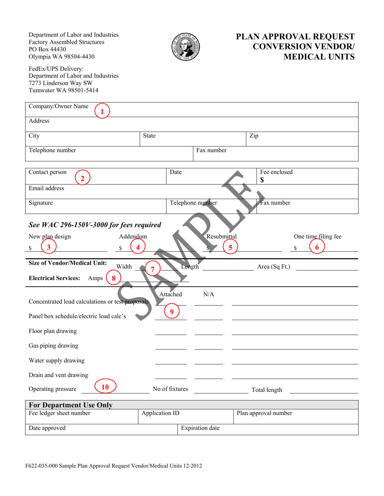Department of Labor and Industries Factory Assembled Structures PO Box 44430 Olympia WA 98504-4430



## **PLAN APPROVAL REQUEST CONVERSION VENDOR/ MEDICAL UNITS**

FedEx/UPS Delivery: Department of Labor and Industries 7273 Linderson Way SW Tumwater WA 98501-5414

| Company/Owner Name                                                      |                |                  |                        |                      |                     |  |  |  |  |
|-------------------------------------------------------------------------|----------------|------------------|------------------------|----------------------|---------------------|--|--|--|--|
| Address                                                                 |                |                  |                        |                      |                     |  |  |  |  |
| City                                                                    | <b>State</b>   |                  |                        | Zip                  |                     |  |  |  |  |
| Telephone number                                                        |                | Fax number       |                        |                      |                     |  |  |  |  |
|                                                                         |                |                  |                        |                      |                     |  |  |  |  |
| Contact person<br>$\overline{2}$                                        |                | Date             |                        | Fee enclosed<br>\$   |                     |  |  |  |  |
| Email address                                                           |                |                  |                        |                      |                     |  |  |  |  |
| Signature                                                               |                | Telephone number |                        |                      | Fax number          |  |  |  |  |
| See WAC 296-150V-3000 for fees required                                 |                |                  |                        |                      |                     |  |  |  |  |
| New plan design<br>Addendum                                             |                |                  | Resubmittal            |                      | One time filing fee |  |  |  |  |
| S                                                                       |                |                  |                        |                      |                     |  |  |  |  |
| <b>Size of Vendor/Medical Unit:</b><br>Width<br>Length<br>Area (Sq Ft.) |                |                  |                        |                      |                     |  |  |  |  |
| <b>Electrical Services:</b><br>Amps<br>8                                |                |                  |                        |                      |                     |  |  |  |  |
| Concentrated load calculations or test proposals                        |                | Attached         | N/A                    |                      |                     |  |  |  |  |
| 9<br>Panel box schedule/electric load calc's                            |                |                  |                        |                      |                     |  |  |  |  |
| Floor plan drawing                                                      |                |                  |                        |                      |                     |  |  |  |  |
| Gas piping drawing                                                      |                |                  |                        |                      |                     |  |  |  |  |
| Water supply drawing                                                    |                |                  |                        |                      |                     |  |  |  |  |
| Drain and vent drawing                                                  |                |                  |                        |                      |                     |  |  |  |  |
| 10<br>Operating pressure                                                |                | No of fixtures   |                        | Total length         |                     |  |  |  |  |
| <b>For Department Use Only</b>                                          |                |                  |                        |                      |                     |  |  |  |  |
| Fee ledger sheet number                                                 | Application ID |                  |                        | Plan approval number |                     |  |  |  |  |
| Date approved                                                           |                |                  | <b>Expiration</b> date |                      |                     |  |  |  |  |